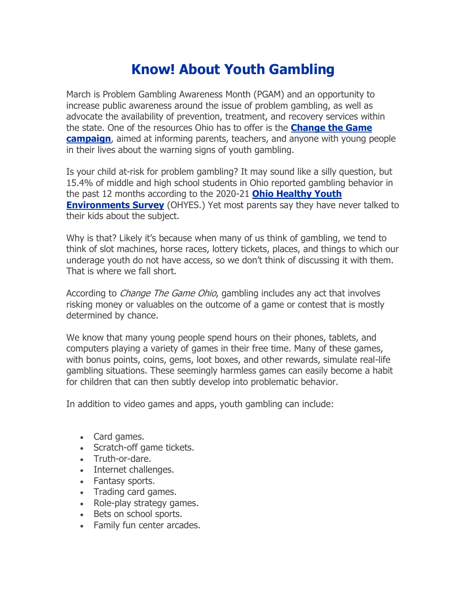## **Know! About Youth Gambling**

March is Problem Gambling Awareness Month (PGAM) and an opportunity to increase public awareness around the issue of problem gambling, as well as advocate the availability of prevention, treatment, and recovery services within the state. One of the resources Ohio has to offer is the **[Change the Game](https://r20.rs6.net/tn.jsp?f=001fMs7G_pUwY__CyClH_dIKzQ_cBYEZyT2LrHBhQ8qUIv4cratGfVrH6hHDmJH09zG-eQndNYunOt_6qfTMBlZ0GtCxPFaeD2MwILP1GmMHPmHNp67QIi5nWMa3bc7d7Ssr4Ek4leEtNgEgG6qHSyw5w==&c=lzlL86NTxzTBBOlX0WW9wBORuJ4ndmR8FdqCPPuo5hFztJ3rvLBJNg==&ch=pwjob0W6_3fDU9V2lgArQo8NQ1x43V9WHyo9DUZvOfiiu3L4s0ZQ4Q==)  [campaign](https://r20.rs6.net/tn.jsp?f=001fMs7G_pUwY__CyClH_dIKzQ_cBYEZyT2LrHBhQ8qUIv4cratGfVrH6hHDmJH09zG-eQndNYunOt_6qfTMBlZ0GtCxPFaeD2MwILP1GmMHPmHNp67QIi5nWMa3bc7d7Ssr4Ek4leEtNgEgG6qHSyw5w==&c=lzlL86NTxzTBBOlX0WW9wBORuJ4ndmR8FdqCPPuo5hFztJ3rvLBJNg==&ch=pwjob0W6_3fDU9V2lgArQo8NQ1x43V9WHyo9DUZvOfiiu3L4s0ZQ4Q==)**, aimed at informing parents, teachers, and anyone with young people in their lives about the warning signs of youth gambling.

Is your child at-risk for problem gambling? It may sound like a silly question, but 15.4% of middle and high school students in Ohio reported gambling behavior in the past 12 months according to the 2020-21 **[Ohio Healthy Youth](https://r20.rs6.net/tn.jsp?f=001fMs7G_pUwY__CyClH_dIKzQ_cBYEZyT2LrHBhQ8qUIv4cratGfVrHzxnPg7Z-tqnQIirNLMuK5PXSrV63nx8cGGg3oNkQ2gojxKnYzNYhkBgz78oETk_kvLzGwu7ZLiSt46uxgAGtjlxyu56u5Bhj5X8Q5iewzqWhRVhdaJUjR00_zXVYUNRvtUCQk1UznW9hgkxVmRb662Ebuh65nlSg3eXmyjr_i7A&c=lzlL86NTxzTBBOlX0WW9wBORuJ4ndmR8FdqCPPuo5hFztJ3rvLBJNg==&ch=pwjob0W6_3fDU9V2lgArQo8NQ1x43V9WHyo9DUZvOfiiu3L4s0ZQ4Q==)  [Environments Survey](https://r20.rs6.net/tn.jsp?f=001fMs7G_pUwY__CyClH_dIKzQ_cBYEZyT2LrHBhQ8qUIv4cratGfVrHzxnPg7Z-tqnQIirNLMuK5PXSrV63nx8cGGg3oNkQ2gojxKnYzNYhkBgz78oETk_kvLzGwu7ZLiSt46uxgAGtjlxyu56u5Bhj5X8Q5iewzqWhRVhdaJUjR00_zXVYUNRvtUCQk1UznW9hgkxVmRb662Ebuh65nlSg3eXmyjr_i7A&c=lzlL86NTxzTBBOlX0WW9wBORuJ4ndmR8FdqCPPuo5hFztJ3rvLBJNg==&ch=pwjob0W6_3fDU9V2lgArQo8NQ1x43V9WHyo9DUZvOfiiu3L4s0ZQ4Q==)** (OHYES.) Yet most parents say they have never talked to their kids about the subject.

Why is that? Likely it's because when many of us think of gambling, we tend to think of slot machines, horse races, lottery tickets, places, and things to which our underage youth do not have access, so we don't think of discussing it with them. That is where we fall short.

According to *Change The Game Ohio*, gambling includes any act that involves risking money or valuables on the outcome of a game or contest that is mostly determined by chance.

We know that many young people spend hours on their phones, tablets, and computers playing a variety of games in their free time. Many of these games, with bonus points, coins, gems, loot boxes, and other rewards, simulate real-life gambling situations. These seemingly harmless games can easily become a habit for children that can then subtly develop into problematic behavior.

In addition to video games and apps, youth gambling can include:

- Card games.
- Scratch-off game tickets.
- Truth-or-dare.
- Internet challenges.
- Fantasy sports.
- Trading card games.
- Role-play strategy games.
- Bets on school sports.
- Family fun center arcades.